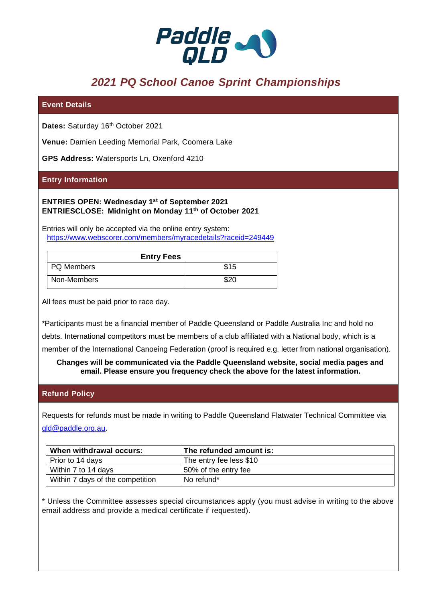

# *2021 PQ School Canoe Sprint Championships*

## **Event Details**

Dates: Saturday 16<sup>th</sup> October 2021

**Venue:** Damien Leeding Memorial Park, Coomera Lake

**GPS Address:** Watersports Ln, Oxenford 4210

#### **Entry Information**

**ENTRIES OPEN: Wednesday 1st of September 2021 ENTRIESCLOSE: Midnight on Monday 11th of October 2021**

Entries will only be accepted via the online entry system: <https://www.webscorer.com/members/myracedetails?raceid=249449>

| <b>Entry Fees</b> |      |
|-------------------|------|
| PQ Members        | \$15 |
| Non-Members       | \$20 |

All fees must be paid prior to race day.

\*Participants must be a financial member of Paddle Queensland or Paddle Australia Inc and hold no

debts. International competitors must be members of a club affiliated with a National body, which is a

member of the International Canoeing Federation (proof is required e.g. letter from national organisation).

**Changes will be communicated via the Paddle Queensland website, social media pages and email. Please ensure you frequency check the above for the latest information.**

#### **Refund Policy**

Requests for refunds must be made in writing to Paddle Queensland Flatwater Technical Committee via [qld@paddle.org.au.](mailto:qld@paddle.org.au)

| When withdrawal occurs:          | The refunded amount is: |
|----------------------------------|-------------------------|
| Prior to 14 days                 | The entry fee less \$10 |
| Within 7 to 14 days              | 50% of the entry fee    |
| Within 7 days of the competition | No refund*              |

\* Unless the Committee assesses special circumstances apply (you must advise in writing to the above email address and provide a medical certificate if requested).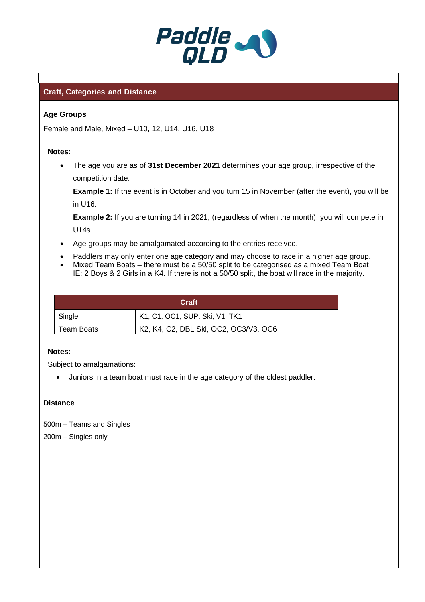

# **Craft, Categories and Distance**

## **Age Groups**

Female and Male, Mixed – U10, 12, U14, U16, U18

#### **Notes:**

• The age you are as of **31st December 2021** determines your age group, irrespective of the competition date.

**Example 1:** If the event is in October and you turn 15 in November (after the event), you will be in U16.

**Example 2:** If you are turning 14 in 2021, (regardless of when the month), you will compete in U14s.

- Age groups may be amalgamated according to the entries received.
- Paddlers may only enter one age category and may choose to race in a higher age group.
- Mixed Team Boats there must be a 50/50 split to be categorised as a mixed Team Boat IE: 2 Boys & 2 Girls in a K4. If there is not a 50/50 split, the boat will race in the majority.

| Craft      |                                       |  |
|------------|---------------------------------------|--|
| Single     | K1, C1, OC1, SUP, Ski, V1, TK1        |  |
| Team Boats | K2, K4, C2, DBL Ski, OC2, OC3/V3, OC6 |  |

#### **Notes:**

Subject to amalgamations:

• Juniors in a team boat must race in the age category of the oldest paddler.

# **Distance**

500m – Teams and Singles 200m – Singles only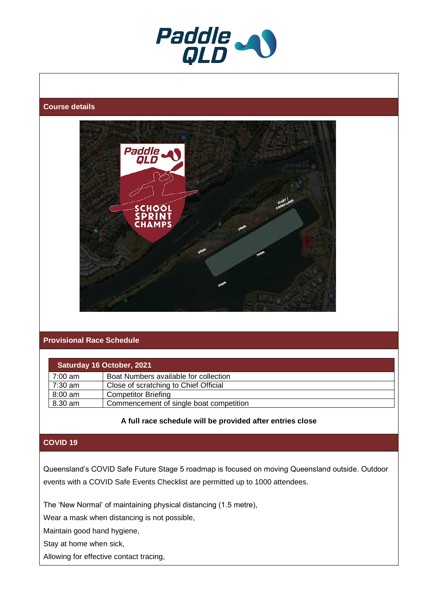

#### **Course details**



# **Provisional Race Schedule**

| Saturday 16 October, 2021 |                                         |  |
|---------------------------|-----------------------------------------|--|
| $7:00 \text{ am}$         | Boat Numbers available for collection   |  |
| $7:30$ am                 | Close of scratching to Chief Official   |  |
| $8:00$ am                 | <b>Competitor Briefing</b>              |  |
| 8.30 am                   | Commencement of single boat competition |  |

#### **A full race schedule will be provided after entries close**

## **COVID 19**

Queensland's COVID Safe Future Stage 5 roadmap is focused on moving Queensland outside. Outdoor events with a COVID Safe Events Checklist are permitted up to 1000 attendees.

The 'New Normal' of maintaining physical distancing (1.5 metre),

Wear a mask when distancing is not possible,

Maintain good hand hygiene,

Stay at home when sick,

Allowing for effective contact tracing,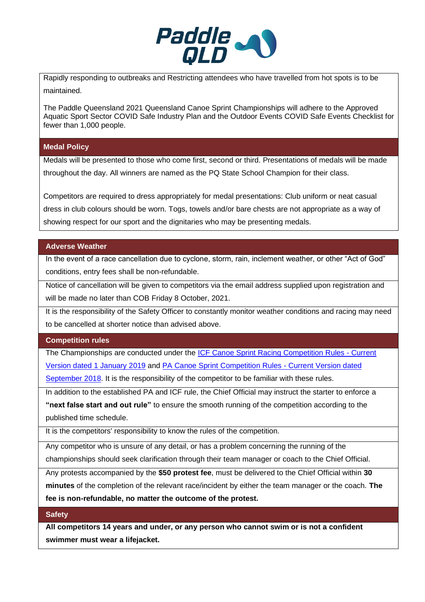

Rapidly responding to outbreaks and Restricting attendees who have travelled from hot spots is to be maintained.

The Paddle Queensland 2021 Queensland Canoe Sprint Championships will adhere to the Approved Aquatic Sport Sector COVID Safe Industry Plan and the Outdoor Events COVID Safe Events Checklist for fewer than 1,000 people.

## **Medal Policy**

Medals will be presented to those who come first, second or third. Presentations of medals will be made throughout the day. All winners are named as the PQ State School Champion for their class.

Competitors are required to dress appropriately for medal presentations: Club uniform or neat casual dress in club colours should be worn. Togs, towels and/or bare chests are not appropriate as a way of showing respect for our sport and the dignitaries who may be presenting medals.

# **Adverse Weather**

In the event of a race cancellation due to cyclone, storm, rain, inclement weather, or other "Act of God" conditions, entry fees shall be non-refundable.

Notice of cancellation will be given to competitors via the email address supplied upon registration and will be made no later than COB Friday 8 October, 2021.

It is the responsibility of the Safety Officer to constantly monitor weather conditions and racing may need to be cancelled at shorter notice than advised above.

# **Competition rules**

The Championships are conducted under the [ICF Canoe Sprint Racing Competition Rules -](https://www.canoeicf.com/sites/default/files/rules_canoe_sprint_2019.pdf) Current [Version dated 1 January 2019](https://www.canoeicf.com/sites/default/files/rules_canoe_sprint_2019.pdf) and [PA Canoe Sprint Competition Rules -](https://sprint.paddle.org.au/wp-content/uploads/sites/16/2018/10/2018-PA-Sprint-Competition-Rules-V3.pdf) Current Version dated

[September 2018.](https://sprint.paddle.org.au/wp-content/uploads/sites/16/2018/10/2018-PA-Sprint-Competition-Rules-V3.pdf) It is the responsibility of the competitor to be familiar with these rules.

In addition to the established PA and ICF rule, the Chief Official may instruct the starter to enforce a **"next false start and out rule"** to ensure the smooth running of the competition according to the published time schedule.

It is the competitors' responsibility to know the rules of the competition.

Any competitor who is unsure of any detail, or has a problem concerning the running of the championships should seek clarification through their team manager or coach to the Chief Official.

Any protests accompanied by the **\$50 protest fee**, must be delivered to the Chief Official within **30** 

**minutes** of the completion of the relevant race/incident by either the team manager or the coach. **The** 

**fee is non-refundable, no matter the outcome of the protest.**

# **Safety**

**All competitors 14 years and under, or any person who cannot swim or is not a confident swimmer must wear a lifejacket.**